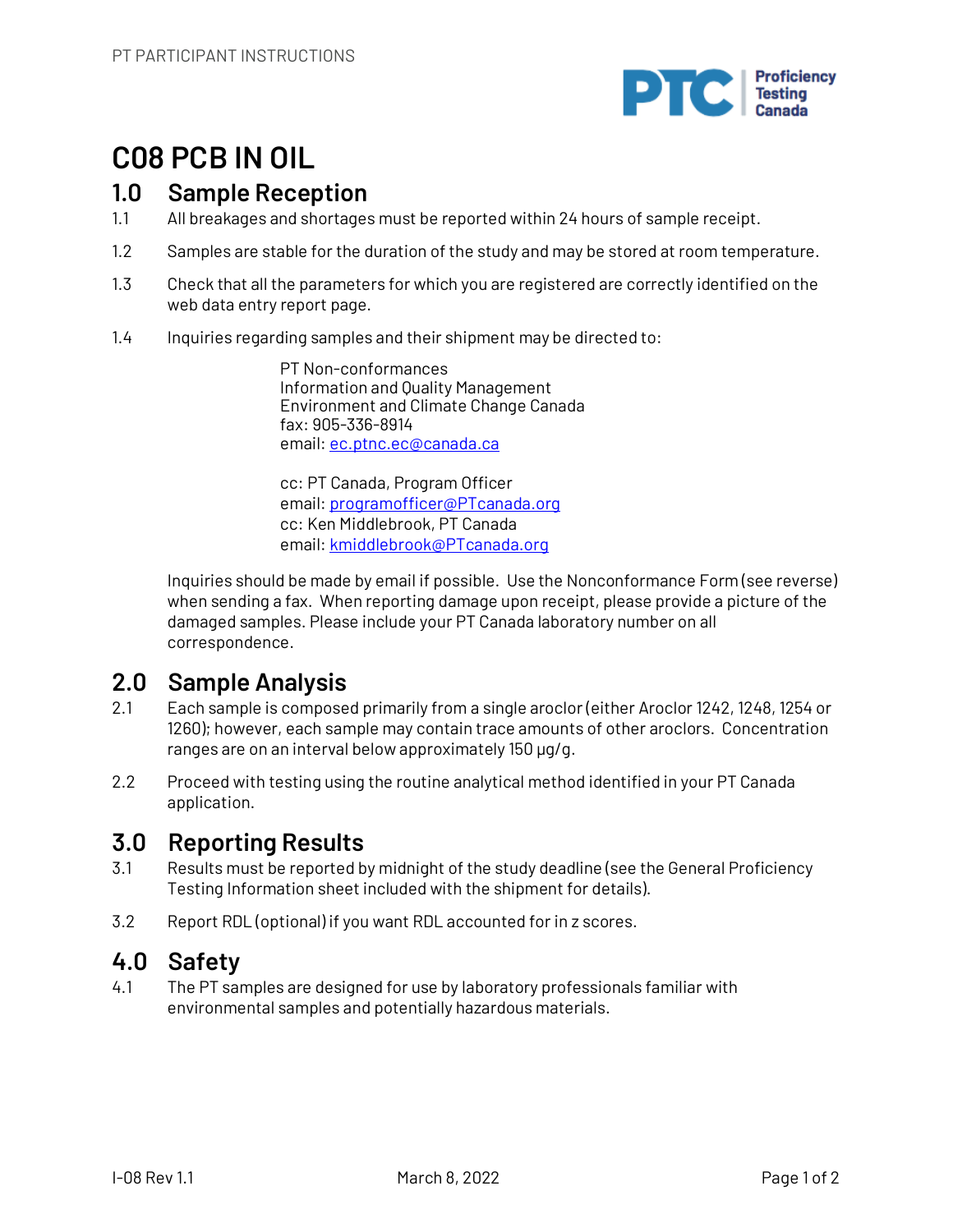

# **C08 PCB IN OIL**

## **1.0 Sample Reception**

- 1.1 All breakages and shortages must be reported within 24 hours of sample receipt.
- 1.2 Samples are stable for the duration of the study and may be stored at room temperature.
- 1.3 Check that all the parameters for which you are registered are correctly identified on the web data entry report page.
- 1.4 Inquiries regarding samples and their shipment may be directed to:

PT Non-conformances Information and Quality Management Environment and Climate Change Canada fax: 905-336-8914 email: ec.ptnc.ec@canada.ca

cc: PT Canada, Program Officer email: programofficer@PTcanada.org cc: Ken Middlebrook, PT Canada email: kmiddlebrook@PTcanada.org

Inquiries should be made by email if possible. Use the Nonconformance Form (see reverse) when sending a fax. When reporting damage upon receipt, please provide a picture of the damaged samples. Please include your PT Canada laboratory number on all correspondence.

## **2.0 Sample Analysis**

- 2.1 Each sample is composed primarily from a single aroclor (either Aroclor 1242, 1248, 1254 or 1260); however, each sample may contain trace amounts of other aroclors. Concentration ranges are on an interval below approximately 150 µg/g.
- 2.2 Proceed with testing using the routine analytical method identified in your PT Canada application.

## **3.0 Reporting Results**

- 3.1 Results must be reported by midnight of the study deadline (see the General Proficiency Testing Information sheet included with the shipment for details).
- 3.2 Report RDL (optional) if you want RDL accounted for in z scores.

## **4.0 Safety**

4.1 The PT samples are designed for use by laboratory professionals familiar with environmental samples and potentially hazardous materials.